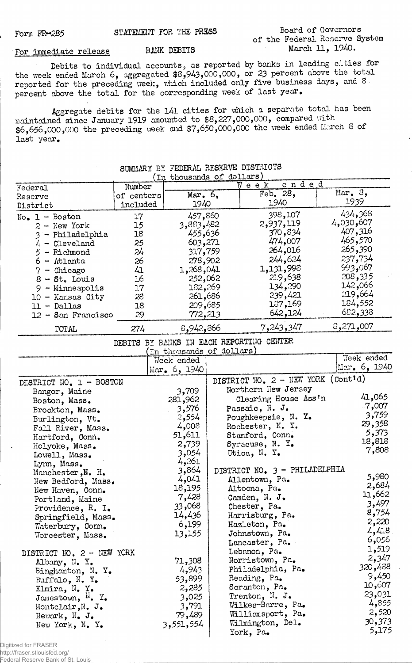## **Board of Governors of the Federal Reserve System March 11, 1940.**

## **■ For Immediate release BANK DEBITS**

**Debits to individual accounts, as reported by banks in leading cities for the week ended March 6, aggregated \$8,943,000,000, or 23 percent above the total reported for the preceding week, which included only five business days, and 8 percent above the total for the corresponding week of last year.**

**Aggregate debits for the l4l cities for which a separate total has been maintained since January 1919 amounted to \$8,227,000,000, compared with** \$6,656,000,000 the preceding week and \$7,650,000,000 the week ended March 8 of **last year.**

|                              |            | In thousands of dollars   |                                          |                |
|------------------------------|------------|---------------------------|------------------------------------------|----------------|
| Federal                      | Number     |                           | ended<br>Week                            |                |
| Reserve                      | of centers | Mar. $6,$                 | Feb. 28,                                 | Mar, 8,        |
| District                     | included   | 1940                      | 1940                                     | 1939           |
|                              |            |                           |                                          | 434,368        |
| $No. 1 - Boston$             | 17         | 457,860                   | 398,107                                  | 4,030,607      |
| $2 - New York$               | 15         | 3,883,482                 | 2,937,119                                | 407,316        |
| 3 - Philadelphia             | 18         | 455,636                   | 370,834                                  |                |
| $4 -$ Cleveland              | 25         | 603,271                   | 474,007                                  | 465,570        |
| $5 -$ Richmond               | 24         | 317,759                   | 264,016                                  | 265,390        |
| $6 -$ Atlanta                | 26         | 278,902                   | 244,624                                  | 237,734        |
| $7$ - Chicago                | 41         | 1,268,041                 | 1,131,998                                | 993,067        |
| $8 - St.$ Louis              | 16         | 252,062                   | 219,638                                  | 208,335        |
| $9 -$ Minneapolis            | 17         | 182,269                   | 134,290                                  | 066,42         |
| $10 -$ Kansas City           | 28         | 261,686                   | 239,421                                  | 219,664        |
| $11 - Dallas$                | 18         | 209,685                   | 137,169                                  | 184,552        |
|                              |            |                           | 642,124                                  | 682,338        |
| $12 -$ San Francisco         | 29         | 772,213                   |                                          | 8,271,007      |
| <b>TOTAL</b>                 | 274        | 8,942,866                 | 7,243,347                                |                |
|                              |            |                           | DEBITS BY BANKS IN EACH REPORTING CENTER |                |
|                              |            | (In thousands of dollars) |                                          | Week ended     |
|                              |            | Week ended                |                                          | Mar. $6, 1940$ |
|                              |            | $Mar_{\bullet} 6, 1940$   |                                          |                |
| DISTRICT NO. 1 - BOSTON      |            |                           | DISTRICT NO. 2 - NEW YORK (Cont'd)       |                |
| Bangor, Maine                |            | 3,709                     | Northern New Jersey                      |                |
|                              |            | 281,962                   | Clearing House Ass'n                     | 41,065         |
| Boston, Mass.                |            | 3,576                     | Passaic, N.J.                            | $-7,007$       |
| Brockton, Mass.              |            |                           |                                          | 3,759          |
| Burlington, Vt.              |            | 2,554                     | Poughkeepsie, N. Y.                      | 29,358         |
| Fall River, Mass.            |            | 4,008                     | Rochester, N.Y.                          | 5,373          |
| Hartford, Conn.              |            | 51,611                    | Stamford, Conn.                          | 18,818         |
| Holyoke, Mass.               |            | 2,739                     | Syracuse, N. Y.                          | 7,808          |
| Lowell, Mass.                |            | 3,054                     | Utica, N. Y.                             |                |
| Lynn, Mass.                  |            | 4,261                     |                                          |                |
| Manchester, N. H.            |            | 3,864                     | DISTRICT NO. 3 - PHILADELPHIA            |                |
| New Bedford, Mass.           |            | 4,041                     | Allentown, Pa.                           | 5,980          |
| New Haven, Conn.             |            | 18,195                    | Altoona, Pa.                             | 2,684          |
| Portland, Maine              |            | 7,428                     | Camden, N. J.                            | 11,662         |
| Providence, R. I.            |            | 33,068                    | Chester, Pa.                             | 3,497          |
|                              |            | 14,436                    | Harrisburg, Pa.                          | 8,754          |
| Springfield, Mass.           |            | 6,199                     | Hazleton, Pa.                            | 2,220          |
| Waterbury, Conn.             |            |                           | Johnstown, Pa.                           | 4,418          |
| Worcester, Mass.             |            | 13,155                    |                                          | 6,056          |
|                              |            |                           | Lancaster, Pa.                           | 1,519          |
| DISTRICT NO. 2 - NEW YORK    |            |                           | Lebanon, Pa.                             | 2,347          |
| Albany, N. Y.                |            | 71,308                    | Norristown, Pa.                          | 320,488        |
| Binghamton, N. Y.            |            | 4,943                     | Philadelphia, Pa.                        |                |
| Buffalo, $N_{\bullet}$ Y.    |            | 53,899                    | Reading, Pa.                             | 9,450          |
| Elmira, N. Y.                |            | 2,285                     | Scranton, Pa.                            | 10,607         |
| Jamestown, <sup>N</sup> . Y. |            | 3,025                     | Trenton, N. J.                           | 23,031         |
| Montclair, N. J.             |            | 3,791                     | Wilkes-Barre, Pa.                        | 4,855          |
| Newark, $N_{\bullet}$ J.     |            | 79,489                    | Williamsport, Pa.                        | 2,520          |
| New York, N. Y.              |            | 3,551,554                 | Wilmington, Del.                         | 30,373         |
|                              |            |                           | York, Pa.                                | 5,175          |
|                              |            |                           |                                          |                |

## **SUMMARY BY FEDERAL RESERVE DISTRICTS**

Digitized for FRASER

http://fraser.stlouisfed.org/ Federal Reserve Bank of St. Louis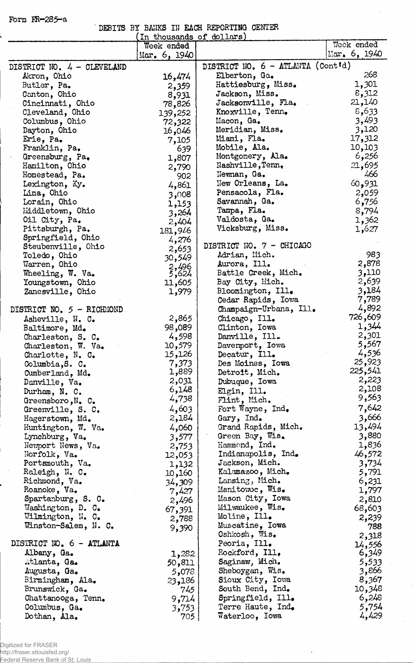**Form PR-285-a**

|  |  | DEBITS BY BANKS IN EACH REPORTING CENTER |  |
|--|--|------------------------------------------|--|
|  |  |                                          |  |

J

 $\ddot{\phantom{a}}$ 

l,

|                            | In thousands of dollars) |                                   |                         |
|----------------------------|--------------------------|-----------------------------------|-------------------------|
|                            | Week ended               |                                   | Week ended              |
|                            | Mar. $6, 1940$           |                                   | $\frac{150}{26}$ , 1940 |
| DISTRICT NO. 4 - CLEVELAND |                          | DISTRICT NO. 6 - ATLANTA (Cont'd) |                         |
| Akron, Ohio                | 16,474                   | Elberton, Ga.                     | 268                     |
| Butler, Pa.                | 2,359                    | Hattiesburg, Miss.                | 1,301                   |
| Canton, Ohio               | 8,931                    | Jackson, Miss.                    | 8,312                   |
| Cincinnati, Ohio           | 78,826                   | Jacksonville, Fla.                | 21,140                  |
| Cleveland, Ohio            | 139,252                  | Knoxville, Tenn.                  | 8,633                   |
| Columbus, Ohio             | 72,322                   | Macon, Ga.                        | 3,493                   |
| Dayton, Ohio               | 16,046                   | Meridian, Miss.                   | 3,120                   |
| Erie, Pa.                  | 7,105                    | Miami, Fla.                       | 17,312                  |
| Franklin, Pa.              | 639                      | Mobile, Ala.                      | 10,103                  |
| Greensburg, Pa.            | 1,807                    | Montgonery, Ala.                  | 6,256                   |
| Hamilton, Ohio             | 2,790                    | Nashville, Tenn,                  | 21,695                  |
| Homestead, Pa.             | 902                      | Newman, Ga.                       | 466                     |
| Lexington, Ky.             | 4,861                    | New Orleans, La.                  | 60,931                  |
| Lima, Ohio                 | 3,008                    | Pensacola, Fla.                   | 2,059                   |
| Lorain, Ohio               | 1,153                    | Savannah, Ga.                     | 6,756                   |
| Middletown, Ohio           | 3,264                    | Tampa, Fla.                       | 8,794                   |
| Oil City, Pa.              | 2,404                    | Valdosta, Ga.                     | 1,362                   |
| Pittsburgh, Pa.            |                          | Vicksburg, Miss.                  | 1,627                   |
| Springfield, Ohio          | 181,946<br>4,276         |                                   |                         |
| Steubenville, Ohio         |                          | DISTRICT NO. 7 - OHICAGO          |                         |
| Toledo, Ohio               | 2,653                    | Adrian, Mich.                     | 983                     |
| Warren, Ohio               | 30,549                   | Aurora, Ill.                      | 2,878                   |
| Wheeling, W. Va.           | 2,496<br>5,624           | Battle Creek, Mich.               | 3,110                   |
| Youngstown, Ohio           | 11,605                   | Bay City, Mich.                   | 2,639                   |
| Zanesville, Ohio           | 1,979                    | Bloomington, Ill.                 | 3,184                   |
|                            |                          | Cedar Rapids, Iowa                | 7,789                   |
| DISTRICT NO. 5 - RICHMOND  |                          | Champaign-Urbana, Ill.            | 4,892                   |
| Asheville, N. C.           | 2,865                    | Chicago, Ill.                     | 726,609                 |
| Baltimore, Md.             | 98,089                   | Clinton, Iowa                     | 1,344                   |
| Charleston, S. C.          | 4,598                    | Danville, Ill.                    | 2,301                   |
| Charleston, W. Va.         | 10,579                   | Davemport, Iowa                   | 5,567                   |
| Charlotte, N. C.           | 15,126                   | Decatur, Ill.                     | 4,536                   |
| Columbia, S. C.            | 7,373                    | Des Moines, Iowa                  | 25,923                  |
| Cumberland, Md.            | 1,889                    | Detroit, Mich.                    | 225,541                 |
| Danville, Va.              | 2,031                    | Dubuque, Iowa                     | 2,223                   |
| Durham, N. C.              | 6,148                    | Elgin, Ill.                       | 2,108                   |
| Greensboro, N. C.          | 4,738                    | Flint, Mich.                      | 9,563                   |
| Greenville, S. C.          | 4,603                    | Fort Wayne, $Ind_{\bullet}$       | 7,642                   |
| Hagerstown, Md.            | 2,184                    | Gary, Ind.                        | 3,666                   |
| Huntington, W. Va.         | 4,060                    | Grand Rapids, Mich.               | 13,494                  |
| Lynchburg, Va.             | 3,577                    | Green Bay, Wis.                   | 3,880                   |
| Weyport News, Va.          | 2,753                    | Hammond, Ind.                     | 1,836                   |
| Norfolk, Va.               | 12,053                   | Indianapolis, Ind.                | 46,572                  |
| Portsmouth, Va.            | 1,132                    | Jackson, Mich.                    | 3,734                   |
| Raleigh, N. C.             | 10,160                   | Kalamazoo, Mich.                  | 5,791                   |
| Richmond, Va.              | 34,309                   | Lansing, Mich.                    | 6,231                   |
| Roanoke, Va.               | 7,427                    | Manitowc, Wis.                    | 1,797                   |
| Spartanburg, S. C.         | 2,496                    | Mason City, Iowa                  | 2,810                   |
| Washington, D. C.          | 67,391                   | Milwaukee, Wis.                   | 68,603                  |
| Wilmington, N. C.          | 2,788                    | Moline, Ill.                      | 2,239                   |
| Winston-Salem, N. C.       |                          | Muscatine, Iowa                   | 788                     |
|                            | 9,390                    | Oshkosh, Wis.                     | 2,318                   |
| DISTRICT NO. 6 - ATLANTA   |                          | Peoria, Ill.                      | 14,556                  |
| Albany, Ga.                | 1,282                    | Rockford, Ill.                    | 6,349                   |
| Atlanta, Ga.               | 50,811                   | Saginaw, Mich.                    | 5,533                   |
| Augusta, Ga.               | 5,078                    | Sheboygan, Wis.                   | 3,866                   |
| Birmingham, Ala.           | 23,186                   | Sioux City, Iowa                  | 8,367                   |
| Brunswick, Ga.             | 745                      | South Bend, Ind.                  | 10,348                  |
| Chattanooga, Tenn.         | 9,714                    | Springfield, Ill.                 | 6,248                   |
| Columbus, Ga.              | 3,753                    | Terre Haute, Ind.                 | 5,754                   |
| Dothan, Ala.               | 705                      | Waterloo, Iowa                    | 4,429                   |
|                            |                          |                                   |                         |